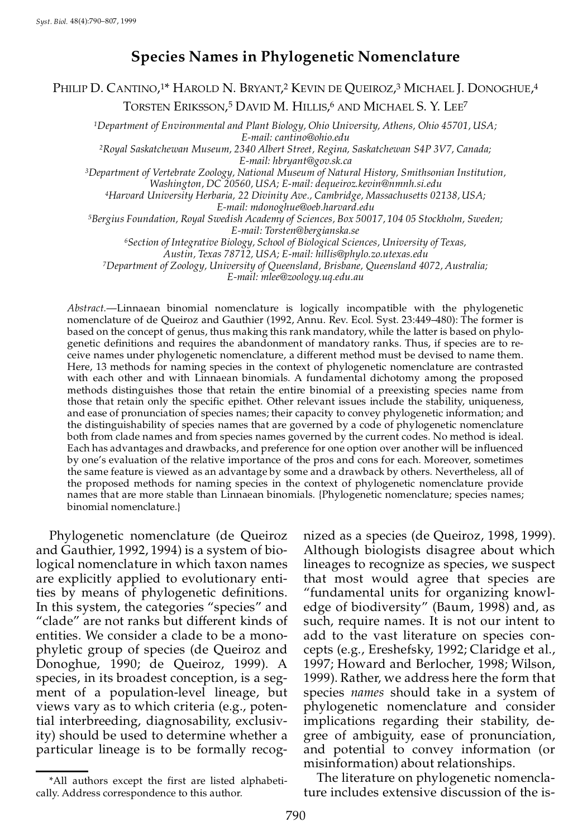# **Species Names in Phylogenetic Nomenclature**

PHILIP D. CANTINO,<sup>1\*</sup> HAROLD N. BRYANT,<sup>2</sup> KEVIN DE OUEIROZ,<sup>3</sup> MICHAEL J. DONOGHUE,<sup>4</sup> TORSTEN ERIKSSON,<sup>5</sup> DAVID M. HILLIS,<sup>6</sup> AND MICHAEL S. Y. LEE<sup>7</sup>

*<sup>1</sup>Department of Environmental and Plant Biology, Ohio University, Athens, Ohio 45701, USA; E-mail: cantino@ohio.edu*

*<sup>2</sup>Royal Saskatchewan Museum, 2340 Albert Street, Regina, Saskatchewan S4P 3V7, Canada; E-mail: hbryant@gov.sk.ca*

*<sup>3</sup>Department of Vertebrate Zoology, National Museum of Natural History, Smithsonian Institution,*

*Washington, DC 20560, USA; E-mail: dequeiroz.kevin@nmnh.si.edu*

*<sup>4</sup>Harvard University Herbaria, 22 Divinity Ave., Cambridge, Massachusetts 02138, USA;* 

*E-mail: mdonoghue@oeb.harvard.edu*

*<sup>5</sup>Bergius Foundation, Royal Swedish Academy of Sciences, Box 50017, 104 05 Stockholm, Sweden; E-mail: Torsten@bergianska.se*

*<sup>6</sup>Section of Integrative Biology, School of Biological Sciences, University of Texas,* 

*Austin, Texas 78712, USA; E-mail: hillis@phylo.zo.utexas.edu*

*<sup>7</sup>Department of Zoology, University of Queensland, Brisbane, Queensland 4072, Australia;* 

*E-mail: mlee@zoology.uq.edu.au*

*Abstract.*—Linnaean binomial nomenclature is logically incompatible with the phylogenetic nomenclature of de Queiroz and Gauthier (1992, Annu. Rev. Ecol. Syst. 23:449–480): The former is based on the concept of genus, thus making this rank mandatory, while the latter is based on phylogenetic definitions and requires the abandonment of mandatory ranks. Thus, if species are to re ceive names under phylogenetic nomenclature, a different method must be devised to name them. Here, 13 methods for naming species in the context of phylogenetic nomenclature are contrasted with each other and with Linnaean binomials. A fundamental dichotomy among the proposed methods distinguishes those that retain the entire binomial of a preexisting species name from those that retain only the specific epithet. Other relevant issues include the stability, uniqueness, and ease of pronunciation of species names; their capacity to convey phylogenetic information; and the distinguishability of species names that are governed by a code of phylogenetic nomenclature both from clade names and from species names governed by the current codes. No method is ideal. Each has advantages and drawbacks, and preference for one option over another will be influenced by one's evaluation of the relative importance of the pros and cons for each. Moreover, sometimes the same feature is viewed as an advantage by some and a drawback by others. Nevertheless, all of the proposed methods for naming species in the context of phylogenetic nomenclature provide names that are more stable than Linnaean binomials. {Phylogenetic nomenclature; species names; binomial nomenclature.}

Phylogenetic nomenclature (de Queiroz and Gauthier, 1992, 1994) is a system of biological nomenclature in which taxon names are explicitly applied to evolutionary entities by means of phylogenetic definitions. In this system, the categories "species" and "clade" are not ranks but different kinds of entities. We consider a clade to be a monophyletic group of species (de Queiroz and Donoghue, 1990; de Queiroz, 1999). A species, in its broadest conception, is a segment of a population-level lineage, but views vary as to which criteria (e.g., potential interbreeding, diagnosability, exclusivity) should be used to determine whether a particular lineage is to be formally recog-

\*All authors except the first are listed alphabetically. Address correspondence to this author.

nized as a species (de Queiroz, 1998, 1999). Although biologists disagree about which lineages to recognize as species, we suspect that most would agree that species are "fundamental units for organizing knowledge of biodiversity" (Baum, 1998) and, as such, require names. It is not our intent to add to the vast literature on species concepts (e.g., Ereshefsky, 1992; Claridge et al., 1997; Howard and Berlocher, 1998; Wilson, 1999). Rather, we address here the form that species *names* should take in a system of phylogenetic nomenclature and consider implications regarding their stability, degree of ambiguity, ease of pronunciation, and potential to convey information (or misinformation) about relationships.

The literature on phylogenetic nomenclature includes extensive discussion of the is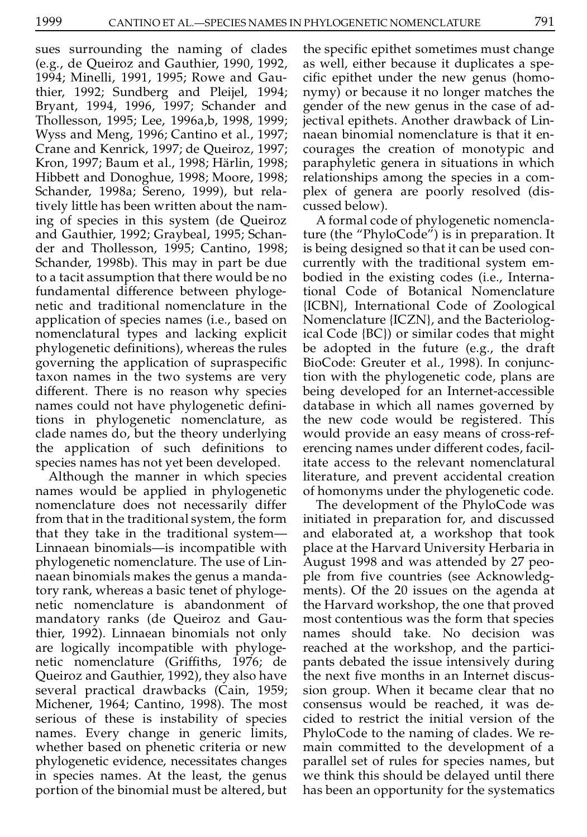sues surrounding the naming of clades (e.g., de Queiroz and Gauthier, 1990, 1992, 1994; Minelli, 1991, 1995; Rowe and Gauthier, 1992; Sundberg and Pleijel, 1994; Bryant, 1994, 1996, 1997; Schander and Thollesson, 1995; Lee, 1996a,b, 1998, 1999; Wyss and Meng, 1996; Cantino et al., 1997; Crane and Kenrick, 1997; de Queiroz, 1997; Kron, 1997; Baum et al., 1998; Härlin, 1998; Hibbett and Donoghue, 1998; Moore, 1998; Schander, 1998a; Sereno, 1999), but relatively little has been written about the naming of species in this system (de Queiroz and Gauthier, 1992; Graybeal, 1995; Schander and Thollesson, 1995; Cantino, 1998; Schander, 1998b). This may in part be due to a tacit assumption that there would be no fundamental difference between phylogenetic and traditional nomenclature in the application of species names (i.e., based on nomenclatural types and lacking explicit phylogenetic definitions), whereas the rules governing the application of supraspecific taxon names in the two systems are very different. There is no reason why species names could not have phylogenetic definitions in phylogenetic nomenclature, as clade names do, but the theory underlying the application of such definitions to species names has not yet been developed.

Although the manner in which species names would be applied in phylogenetic nomenclature does not necessarily differ from that in the traditional system, the form that they take in the traditional system— Linnaean binomials—is incompatible with phylogenetic nomenclature. The use of Linnaean binomials makes the genus a mandatory rank, whereas a basic tenet of phylogenetic nomenclature is abandonment of mandatory ranks (de Queiroz and Gauthier, 1992). Linnaean binomials not only are logically incompatible with phylogenetic nomenclature (Griffiths, 1976; de Queiroz and Gauthier, 1992), they also have several practical drawbacks (Cain, 1959; Michener, 1964; Cantino, 1998). The most serious of these is instability of species names. Every change in generic limits, whether based on phenetic criteria or new phylogenetic evidence, necessitates changes in species names. At the least, the genus portion of the binomial must be altered, but

the specific epithet sometimes must change as well, either because it duplicates a specific epithet under the new genus (homonymy) or because it no longer matches the gender of the new genus in the case of adjectival epithets. Another drawback of Linnaean binomial nomenclature is that it encourages the creation of monotypic and paraphyletic genera in situations in which relationships among the species in a complex of genera are poorly resolved (discussed below).

A formal code of phylogenetic nomenclature (the "PhyloCode") is in preparation. It is being designed so that it can be used concurrently with the traditional system embodied in the existing codes (i.e., International Code of Botanical Nomenclature {ICBN}, International Code of Zoological Nomenclature {ICZN}, and the Bacteriological Code {BC}) or similar codes that might be adopted in the future (e.g., the draft BioCode: Greuter et al., 1998). In conjunction with the phylogenetic code, plans are being developed for an Internet-accessible database in which all names governed by the new code would be registered. This would provide an easy means of cross-referencing names under different codes, facilitate access to the relevant nomenclatural literature, and prevent accidental creation of homonyms under the phylogenetic code.

The development of the PhyloCode was initiated in preparation for, and discussed and elaborated at, a workshop that took place at the Harvard University Herbaria in August 1998 and was attended by 27 people from five countries (see Acknowledgments). Of the 20 issues on the agenda at the Harvard workshop, the one that proved most contentious was the form that species names should take. No decision was reached at the workshop, and the participants debated the issue intensively during the next five months in an Internet discussion group. When it became clear that no consensus would be reached, it was decided to restrict the initial version of the PhyloCode to the naming of clades. We remain committed to the development of a parallel set of rules for species names, but we think this should be delayed until there has been an opportunity for the systematics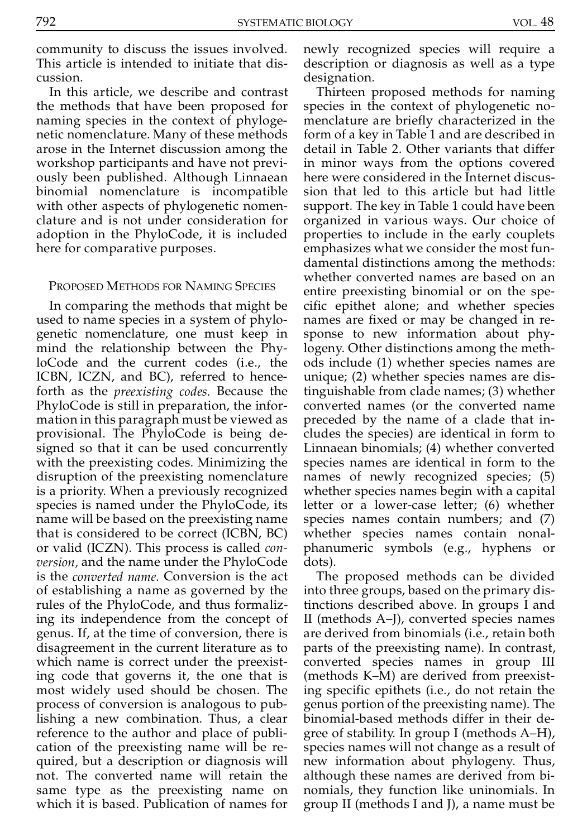community to discuss the issues involved. This article is intended to initiate that discussion.

In this article, we describe and contrast the methods that have been proposed for naming species in the context of phylogenetic nomenclature. Many of these methods arose in the Internet discussion among the workshop participants and have not previously been published. Although Linnaean binomial nomenclature is incompatible with other aspects of phylogenetic nomenclature and is not under consideration for adoption in the PhyloCode, it is included here for comparative purposes.

### PROPOSED METHODS FOR NAMING SPECIES

In comparing the methods that might be used to name species in a system of phylogenetic nomenclature, one must keep in mind the relationship between the PhyloCode and the current codes (i.e., the ICBN, ICZN, and BC), referred to henceforth as the *preexisting codes.* Because the PhyloCode is still in preparation, the information in this paragraph must be viewed as provisional. The PhyloCode is being designed so that it can be used concurrently with the preexisting codes. Minimizing the disruption of the preexisting nomenclature is a priority. When a previously recognized species is named under the PhyloCode, its name will be based on the preexisting name that is considered to be correct (ICBN, BC) or valid (ICZN). This process is called *conversion,* and the name under the PhyloCode is the *converted name.* Conversion is the act of establishing a name as governed by the rules of the PhyloCode, and thus formalizing its independence from the concept of genus. If, at the time of conversion, there is disagreement in the current literature as to which name is correct under the preexisting code that governs it, the one that is most widely used should be chosen. The process of conversion is analogous to publishing a new combination. Thus, a clear reference to the author and place of publication of the preexisting name will be required, but a description or diagnosis will not. The converted name will retain the same type as the preexisting name on which it is based. Publication of names for

newly recognized species will require a description or diagnosis as well as a type designation.

Thirteen proposed methods for naming species in the context of phylogenetic nomenclature are briefly characterized in the form of a key in Table 1 and are described in detail in Table 2. Other variants that differ in minor ways from the options covered here were considered in the Internet discussion that led to this article but had little support. The key in Table 1 could have been organized in various ways. Our choice of properties to include in the early couplets emphasizes what we consider the most fundamental distinctions among the methods: whether converted names are based on an entire preexisting binomial or on the specific epithet alone; and whether species names are fixed or may be changed in response to new information about phylogeny. Other distinctions among the methods include (1) whether species names are unique; (2) whether species names are distinguishable from clade names; (3) whether converted names (or the converted name preceded by the name of a clade that includes the species) are identical in form to Linnaean binomials; (4) whether converted species names are identical in form to the names of newly recognized species; (5) whether species names begin with a capital letter or a lower-case letter; (6) whether species names contain numbers; and (7) whether species names contain nonalphanumeric symbols (e.g., hyphens or dots).

The proposed methods can be divided into three groups, based on the primary distinctions described above. In groups I and II (methods A–J), converted species names are derived from binomials (i.e., retain both parts of the preexisting name). In contrast, converted species names in group III (methods K–M) are derived from preexisting specific epithets (i.e., do not retain the genus portion of the preexisting name). The binomial-based methods differ in their degree of stability. In group I (methods A–H), species names will not change as a result of new information about phylogeny. Thus, although these names are derived from binomials, they function like uninomials. In group II (methods I and J), a name must be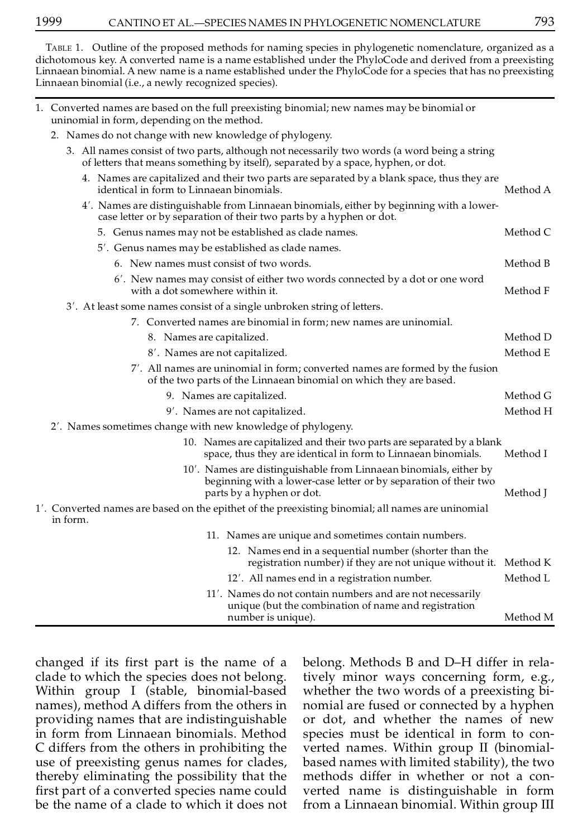| 1. Converted names are based on the full preexisting binomial; new names may be binomial or<br>uninomial in form, depending on the method.                                        |          |
|-----------------------------------------------------------------------------------------------------------------------------------------------------------------------------------|----------|
| 2. Names do not change with new knowledge of phylogeny.                                                                                                                           |          |
| 3. All names consist of two parts, although not necessarily two words (a word being a string<br>of letters that means something by itself), separated by a space, hyphen, or dot. |          |
| 4. Names are capitalized and their two parts are separated by a blank space, thus they are<br>identical in form to Linnaean binomials.                                            | Method A |
| 4'. Names are distinguishable from Linnaean binomials, either by beginning with a lower-<br>case letter or by separation of their two parts by a hyphen or dot.                   |          |
| 5. Genus names may not be established as clade names.                                                                                                                             | Method C |
| 5'. Genus names may be established as clade names.                                                                                                                                |          |
| 6. New names must consist of two words.                                                                                                                                           | Method B |
| 6'. New names may consist of either two words connected by a dot or one word<br>with a dot somewhere within it.                                                                   | Method F |
| 3'. At least some names consist of a single unbroken string of letters.                                                                                                           |          |
| 7. Converted names are binomial in form; new names are uninomial.                                                                                                                 |          |
| 8. Names are capitalized.                                                                                                                                                         | Method D |
| 8'. Names are not capitalized.                                                                                                                                                    | Method E |
| 7'. All names are uninomial in form; converted names are formed by the fusion<br>of the two parts of the Linnaean binomial on which they are based.                               |          |
| 9. Names are capitalized.                                                                                                                                                         | Method G |
| 9'. Names are not capitalized.                                                                                                                                                    | Method H |
| 2'. Names sometimes change with new knowledge of phylogeny.                                                                                                                       |          |
| 10. Names are capitalized and their two parts are separated by a blank<br>space, thus they are identical in form to Linnaean binomials.                                           | Method I |
| 10'. Names are distinguishable from Linnaean binomials, either by<br>beginning with a lower-case letter or by separation of their two<br>parts by a hyphen or dot.                | Method J |
| 1'. Converted names are based on the epithet of the preexisting binomial; all names are uninomial<br>in form.                                                                     |          |
| 11. Names are unique and sometimes contain numbers.                                                                                                                               |          |
| 12. Names end in a sequential number (shorter than the<br>registration number) if they are not unique without it. Method K                                                        |          |
| 12'. All names end in a registration number.                                                                                                                                      | Method L |
| 11'. Names do not contain numbers and are not necessarily<br>unique (but the combination of name and registration                                                                 | Method M |
| number is unique).                                                                                                                                                                |          |

changed if its first part is the name of a clade to which the species does not belong. Within group I (stable, binomial-based names), method A differs from the others in providing names that are indistinguishable in form from Linnaean binomials. Method C differs from the others in prohibiting the use of preexisting genus names for clades, thereby eliminating the possibility that the first part of a converted species name could be the name of a clade to which it does not belong. Methods B and D–H differ in relatively minor ways concerning form, e.g., whether the two words of a preexisting binomial are fused or connected by a hyphen or dot, and whether the names of new species must be identical in form to converted names. Within group II (binomialbased names with limited stability), the two methods differ in whether or not a converted name is distinguishable in form from a Linnaean binomial. Within group III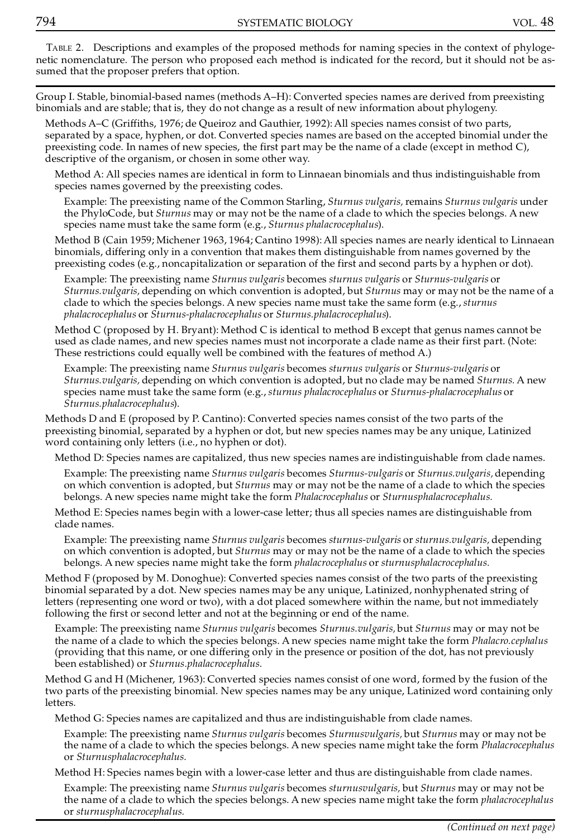TABLE 2. Descriptions and examples of the proposed methods for naming species in the context of phylogenetic nomenclature. The person who proposed each method is indicated for the record, but it should not be as sumed that the proposer prefers that option.

Group I. Stable, binomial-based names (methods A–H): Converted species names are derived from preexisting binomials and are stable; that is, they do not change as a result of new information about phylogeny.

Methods A–C (Griffiths, 1976; de Queiroz and Gauthier, 1992): All species names consist of two parts, separated by a space, hyphen, or dot. Converted species names are based on the accepted binomial under the preexisting code. In names of new species, the first part may be the name of a clade (except in method C), descriptive of the organism, or chosen in some other way.

Method A: All species names are identical in form to Linnaean binomials and thus indistinguishable from species names governed by the preexisting codes.

Example: The preexisting name of the Common Starling, *Sturnus vulgaris,* remains *Sturnus vulgaris* under the PhyloCode, but *Sturnus* may or may not be the name of a clade to which the species belongs. A new species name must take the same form (e.g., *Sturnus phalacrocephalus*).

Method B (Cain 1959; Michener 1963, 1964; Cantino 1998): All species names are nearly identical to Linnaean binomials, differing only in a convention that makes them distinguishable from names governed by the preexisting codes (e.g., noncapitalization or separation of the first and second parts by a hyphen or dot).

Example: The preexisting name *Sturnus vulgaris* becomes *sturnus vulgaris* or *Sturnus-vulgaris* or *Sturnus.vulgaris,* depending on which convention is adopted, but *Sturnus* may or may not be the name of a clade to which the species belongs. A new species name must take the same form (e.g., *sturnus phalacrocephalus* or *Sturnus-phalacrocephalus* or *Sturnus.phalacrocephalus*).

Method C (proposed by H. Bryant): Method C is identical to method B except that genus names cannot be used as clade names, and new species names must not incorporate a clade name as their first part. (Note: These restrictions could equally well be combined with the features of method A.)

Example: The preexisting name *Sturnus vulgaris* becomes *sturnus vulgaris* or *Sturnus-vulgaris* or *Sturnus.vulgaris,* depending on which convention is adopted, but no clade may be named *Sturnus.* A new species name must take the same form (e.g., *sturnus phalacrocephalus* or *Sturnus-phalacrocephalus* or *Sturnus.phalacrocephalus*).

Methods D and E (proposed by P. Cantino): Converted species names consist of the two parts of the preexisting binomial, separated by a hyphen or dot, but new species names may be any unique, Latinized word containing only letters (i.e., no hyphen or dot).

Method D: Species names are capitalized, thus new species names are indistinguishable from clade names.

Example: The preexisting name *Sturnus vulgaris* becomes *Sturnus-vulgaris* or *Sturnus.vulgaris,* depending on which convention is adopted, but *Sturnus* may or may not be the name of a clade to which the species belongs. A new species name might take the form *Phalacrocephalus* or *Sturnusphalacrocephalus.*

Method E: Species names begin with a lower-case letter; thus all species names are distinguishable from clade names.

Example: The preexisting name *Sturnus vulgaris* becomes *sturnus-vulgaris* or *sturnus.vulgaris,* depending on which convention is adopted, but *Sturnus* may or may not be the name of a clade to which the species belongs. A new species name might take the form *phalacrocephalus* or *sturnusphalacrocephalus.*

Method F (proposed by M. Donoghue): Converted species names consist of the two parts of the preexisting binomial separated by a dot. New species names may be any unique, Latinized, nonhyphenated string of letters (representing one word or two), with a dot placed somewhere within the name, but not immediately following the first or second letter and not at the beginning or end of the name.

Example: The preexisting name *Sturnus vulgaris* becomes *Sturnus.vulgaris,* but *Sturnus* may or may not be the name of a clade to which the species belongs. A new species name might take the form *Phalacro.cephalus* (providing that this name, or one differing only in the presence or position of the dot, has not previously been established) or *Sturnus.phalacrocephalus.*

Method G and H (Michener, 1963): Converted species names consist of one word, formed by the fusion of the two parts of the preexisting binomial. New species names may be any unique, Latinized word containing only letters.

Method G: Species names are capitalized and thus are indistinguishable from clade names.

Example: The preexisting name *Sturnus vulgaris* becomes *Sturnusvulgaris,* but *Sturnus* may or may not be the name of a clade to which the species belongs. A new species name might take the form *Phalacrocephalus* or *Sturnusphalacrocephalus.*

Method H: Species names begin with a lower-case letter and thus are distinguishable from clade names.

Example: The preexisting name *Sturnus vulgaris* becomes *sturnusvulgaris,* but *Sturnus* may or may not be the name of a clade to which the species belongs. A new species name might take the form *phalacrocephalus* or *sturnusphalacrocephalus.*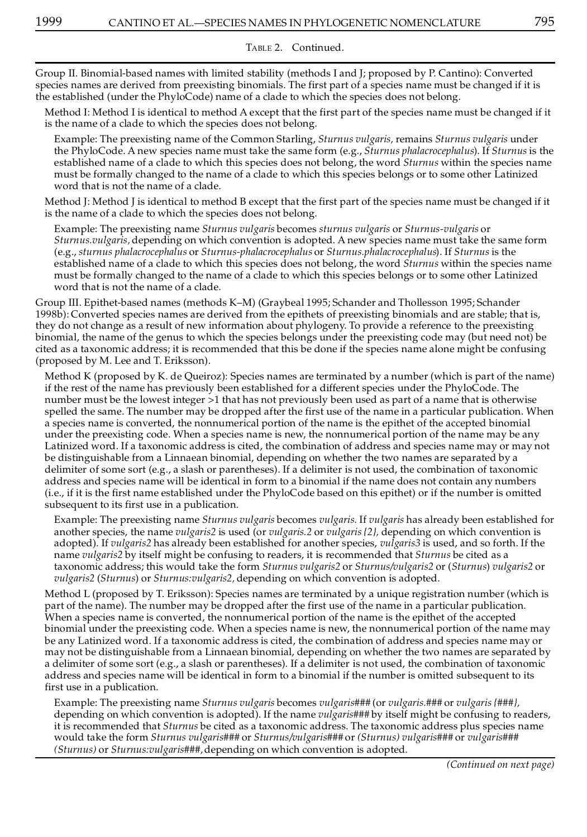#### TABLE 2. Continued.

Group II. Binomial-based names with limited stability (methods I and J; proposed by P. Cantino): Converted species names are derived from preexisting binomials. The first part of a species name must be changed if it is the established (under the PhyloCode) name of a clade to which the species does not belong.

Method I: Method I is identical to method A except that the first part of the species name must be changed if it is the name of a clade to which the species does not belong.

Example: The preexisting name of the Common Starling, *Sturnus vulgaris,* remains *Sturnus vulgaris* under the PhyloCode. A new species name must take the same form (e.g., *Sturnus phalacrocephalus*). If *Sturnus* is the established name of a clade to which this species does not belong, the word *Sturnus* within the species name must be formally changed to the name of a clade to which this species belongs or to some other Latinized word that is not the name of a clade.

Method J: Method J is identical to method B except that the first part of the species name must be changed if it is the name of a clade to which the species does not belong.

Example: The preexisting name *Sturnus vulgaris* becomes *sturnus vulgaris* or *Sturnus-vulgaris* or *Sturnus.vulgaris,* depending on which convention is adopted. A new species name must take the same form (e.g., *sturnus phalacrocephalus* or *Sturnus-phalacrocephalus* or *Sturnus.phalacrocephalus*). If *Sturnus* is the established name of a clade to which this species does not belong, the word *Sturnus* within the species name must be formally changed to the name of a clade to which this species belongs or to some other Latinized word that is not the name of a clade.

Group III. Epithet-based names (methods K–M) (Graybeal 1995; Schander and Thollesson 1995; Schander 1998b): Converted species names are derived from the epithets of preexisting binomials and are stable; that is, they do not change as a result of new information about phylogeny. To provide a reference to the preexisting binomial, the name of the genus to which the species belongs under the preexisting code may (but need not) be cited as a taxonomic address; it is recommended that this be done if the species name alone might be confusing (proposed by M. Lee and T. Eriksson).

Method K (proposed by K. de Queiroz): Species names are terminated by a number (which is part of the name) if the rest of the name has previously been established for a different species under the PhyloCode. The number must be the lowest integer >1 that has not previously been used as part of a name that is otherwise spelled the same. The number may be dropped after the first use of the name in a particular publication. When a species name is converted, the nonnumerical portion of the name is the epithet of the accepted binomial under the preexisting code. When a species name is new, the nonnumerical portion of the name may be any Latinized word. If a taxonomic address is cited, the combination of address and species name may or may not be distinguishable from a Linnaean binomial, depending on whether the two names are separated by a delimiter of some sort (e.g., a slash or parentheses). If a delimiter is not used, the combination of taxonomic address and species name will be identical in form to a binomial if the name does not contain any numbers (i.e., if it is the first name established under the PhyloCode based on this epithet) or if the number is omitted subsequent to its first use in a publication.

Example: The preexisting name *Sturnus vulgaris* becomes *vulgaris.* If *vulgaris* has already been established for another species, the name *vulgaris2* is used (or *vulgaris.2* or *vulgaris {2},* depending on which convention is adopted). If *vulgaris2* has already been established for another species, *vulgaris3* is used, and so forth. If the name *vulgaris2* by itself might be confusing to readers, it is recommended that *Sturnus* be cited as a taxonomic address; this would take the form *Sturnus vulgaris2* or *Sturnus/vulgaris2* or (*Sturnus*) *vulgaris2* or *vulgaris2* (*Sturnus*) or *Sturnus:vulgaris2,* depending on which convention is adopted.

Method L (proposed by T. Eriksson): Species names are terminated by a unique registration number (which is part of the name). The number may be dropped after the first use of the name in a particular publication. When a species name is converted, the nonnumerical portion of the name is the epithet of the accepted binomial under the preexisting code. When a species name is new, the nonnumerical portion of the name may be any Latinized word. If a taxonomic address is cited, the combination of address and species name may or may not be distinguishable from a Linnaean binomial, depending on whether the two names are separated by a delimiter of some sort (e.g., a slash or parentheses). If a delimiter is not used, the combination of taxonomic address and species name will be identical in form to a binomial if the number is omitted subsequent to its first use in a publication.

Example: The preexisting name *Sturnus vulgaris* becomes *vulgaris###* (or *vulgaris.###* or *vulgaris {###},* depending on which convention is adopted). If the name *vulgaris###* by itself might be confusing to readers, it is recommended that *Sturnus* be cited as a taxonomic address. The taxonomic address plus species name would take the form *Sturnus vulgaris###* or *Sturnus/vulgaris###* or *(Sturnus) vulgaris###* or *vulgaris### (Sturnus)* or *Sturnus:vulgaris###,*depending on which convention is adopted.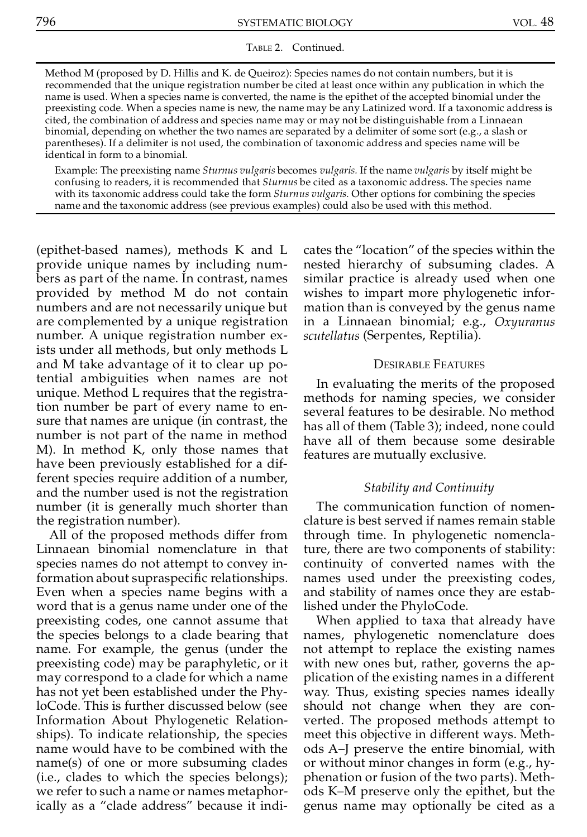TABLE 2. Continued.

Method M (proposed by D. Hillis and K. de Queiroz): Species names do not contain numbers, but it is recommended that the unique registration number be cited at least once within any publication in which the name is used. When a species name is converted, the name is the epithet of the accepted binomial under the preexisting code. When a species name is new, the name may be any Latinized word. If a taxonomic address is cited, the combination of address and species name may or may not be distinguishable from a Linnaean binomial, depending on whether the two names are separated by a delimiter of some sort (e.g., a slash or parentheses). If a delimiter is not used, the combination of taxonomic address and species name will be identical in form to a binomial.

Example: The preexisting name *Sturnus vulgaris* becomes *vulgaris.* If the name *vulgaris* by itself might be confusing to readers, it is recommended that *Sturnus* be cited as a taxonomic address. The species name with its taxonomic address could take the form *Sturnus vulgaris.* Other options for combining the species name and the taxonomic address (see previous examples) could also be used with this method.

(epithet-based names), methods K and L provide unique names by including numbers as part of the name. In contrast, names provided by method M do not contain numbers and are not necessarily unique but are complemented by a unique registration number. A unique registration number exists under all methods, but only methods L and M take advantage of it to clear up potential ambiguities when names are not unique. Method L requires that the registration number be part of every name to ensure that names are unique (in contrast, the number is not part of the name in method M). In method K, only those names that have been previously established for a different species require addition of a number, and the number used is not the registration number (it is generally much shorter than the registration number).

All of the proposed methods differ from Linnaean binomial nomenclature in that species names do not attempt to convey information about supraspecific relationships. Even when a species name begins with a word that is a genus name under one of the preexisting codes, one cannot assume that the species belongs to a clade bearing that name. For example, the genus (under the preexisting code) may be paraphyletic, or it may correspond to a clade for which a name has not yet been established under the PhyloCode. This is further discussed below (see Information About Phylogenetic Relationships). To indicate relationship, the species name would have to be combined with the name(s) of one or more subsuming clades (i.e., clades to which the species belongs); we refer to such a name or names metaphorically as a "clade address" because it indicates the "location" of the species within the nested hierarchy of subsuming clades. A similar practice is already used when one wishes to impart more phylogenetic information than is conveyed by the genus name in a Linnaean binomial; e.g., *Oxyuranus scutellatus* (Serpentes, Reptilia).

## DESIRABLE FEATURES

In evaluating the merits of the proposed methods for naming species, we consider several features to be desirable. No method has all of them (Table 3); indeed, none could have all of them because some desirable features are mutually exclusive.

## *Stability and Continuity*

The communication function of nomenclature is best served if names remain stable through time. In phylogenetic nomenclature, there are two components of stability: continuity of converted names with the names used under the preexisting codes, and stability of names once they are established under the PhyloCode.

When applied to taxa that already have names, phylogenetic nomenclature does not attempt to replace the existing names with new ones but, rather, governs the application of the existing names in a different way. Thus, existing species names ideally should not change when they are converted. The proposed methods attempt to meet this objective in different ways. Methods A–J preserve the entire binomial, with or without minor changes in form (e.g., hyphenation or fusion of the two parts). Methods K–M preserve only the epithet, but the genus name may optionally be cited as a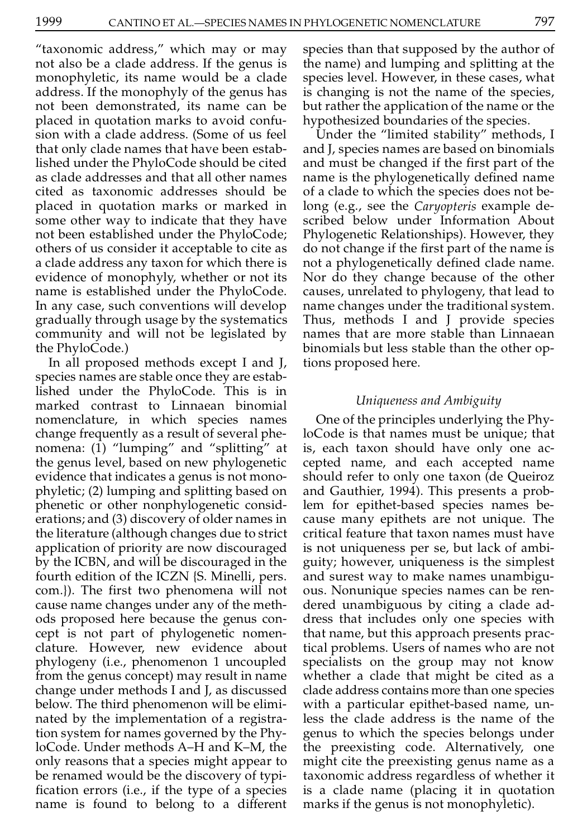"taxonomic address," which may or may not also be a clade address. If the genus is monophyletic, its name would be a clade address. If the monophyly of the genus has not been demonstrated, its name can be placed in quotation marks to avoid confusion with a clade address. (Some of us feel that only clade names that have been established under the PhyloCode should be cited as clade addresses and that all other names cited as taxonomic addresses should be placed in quotation marks or marked in some other way to indicate that they have not been established under the PhyloCode; others of us consider it acceptable to cite as a clade address any taxon for which there is evidence of monophyly, whether or not its name is established under the PhyloCode. In any case, such conventions will develop gradually through usage by the systematics community and will not be legislated by the PhyloCode.)

In all proposed methods except I and J, species names are stable once they are established under the PhyloCode. This is in marked contrast to Linnaean binomial nomenclature, in which species names change frequently as a result of several phenomena: (1) "lumping" and "splitting" at the genus level, based on new phylogenetic evidence that indicates a genus is not monophyletic; (2) lumping and splitting based on phenetic or other nonphylogenetic considerations; and (3) discovery of older names in the literature (although changes due to strict application of priority are now discouraged by the ICBN, and will be discouraged in the fourth edition of the ICZN {S. Minelli, pers. com.}). The first two phenomena will not cause name changes under any of the methods proposed here because the genus concept is not part of phylogenetic nomenclature. However, new evidence about phylogeny (i.e., phenomenon 1 uncoupled from the genus concept) may result in name change under methods I and J, as discussed below. The third phenomenon will be eliminated by the implementation of a registration system for names governed by the PhyloCode. Under methods A–H and K–M, the only reasons that a species might appear to be renamed would be the discovery of typification errors (i.e., if the type of a species name is found to belong to a different species than that supposed by the author of the name) and lumping and splitting at the species level. However, in these cases, what is changing is not the name of the species, but rather the application of the name or the hypothesized boundaries of the species.

Under the "limited stability" methods, I and J, species names are based on binomials and must be changed if the first part of the name is the phylogenetically defined name of a clade to which the species does not belong (e.g., see the *Caryopteris* example described below under Information About Phylogenetic Relationships). However, they do not change if the first part of the name is not a phylogenetically defined clade name. Nor do they change because of the other causes, unrelated to phylogeny, that lead to name changes under the traditional system. Thus, methods I and J provide species names that are more stable than Linnaean binomials but less stable than the other options proposed here.

## *Uniqueness and Ambiguity*

One of the principles underlying the PhyloCode is that names must be unique; that is, each taxon should have only one accepted name, and each accepted name should refer to only one taxon (de Queiroz and Gauthier, 1994). This presents a problem for epithet-based species names because many epithets are not unique. The critical feature that taxon names must have is not uniqueness per se, but lack of ambiguity; however, uniqueness is the simplest and surest way to make names unambiguous. Nonunique species names can be rendered unambiguous by citing a clade address that includes only one species with that name, but this approach presents practical problems. Users of names who are not specialists on the group may not know whether a clade that might be cited as a clade address contains more than one species with a particular epithet-based name, unless the clade address is the name of the genus to which the species belongs under the preexisting code. Alternatively, one might cite the preexisting genus name as a taxonomic address regardless of whether it is a clade name (placing it in quotation marks if the genus is not monophyletic).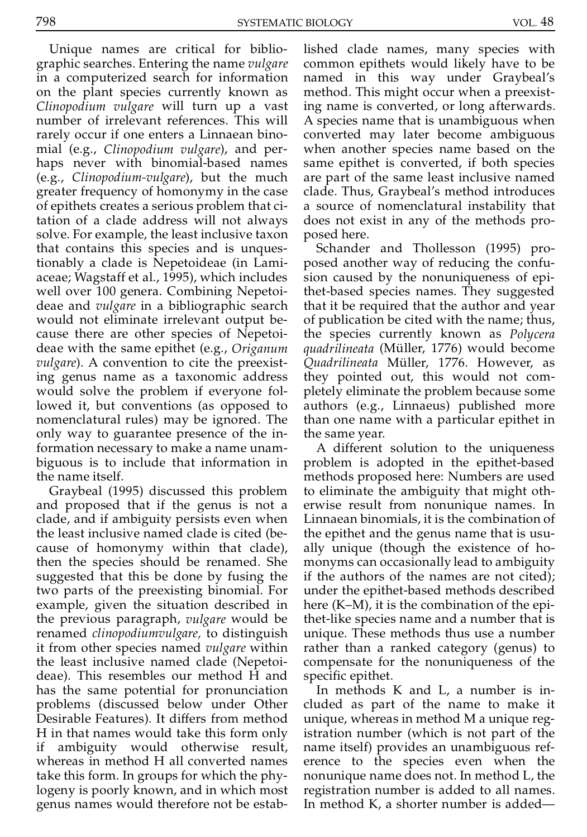Unique names are critical for bibliographic searches. Entering the name *vulgare* in a computerized search for information on the plant species currently known as *Clinopodium vulgare* will turn up a vast number of irrelevant references. This will rarely occur if one enters a Linnaean binomial (e.g., *Clinopodium vulgare*), and perhaps never with binomial-based names (e.g., *Clinopodium-vulgare*), but the much greater frequency of homonymy in the case of epithets creates a serious problem that citation of a clade address will not always solve. For example, the least inclusive taxon that contains this species and is unquestionably a clade is Nepetoideae (in Lamiaceae; Wagstaff et al., 1995), which includes well over 100 genera. Combining Nepetoideae and *vulgare* in a bibliographic search would not eliminate irrelevant output because there are other species of Nepetoideae with the same epithet (e.g., *Origanum vulgare*). A convention to cite the preexisting genus name as a taxonomic address would solve the problem if everyone followed it, but conventions (as opposed to nomenclatural rules) may be ignored. The only way to guarantee presence of the information necessary to make a name unambiguous is to include that information in the name itself.

Graybeal (1995) discussed this problem and proposed that if the genus is not a clade, and if ambiguity persists even when the least inclusive named clade is cited (because of homonymy within that clade), then the species should be renamed. She suggested that this be done by fusing the two parts of the preexisting binomial. For example, given the situation described in the previous paragraph, *vulgare* would be renamed *clinopodiumvulgare,* to distinguish it from other species named *vulgare* within the least inclusive named clade (Nepetoideae). This resembles our method H and has the same potential for pronunciation problems (discussed below under Other Desirable Features). It differs from method H in that names would take this form only if ambiguity would otherwise result, whereas in method H all converted names take this form. In groups for which the phylogeny is poorly known, and in which most genus names would therefore not be established clade names, many species with common epithets would likely have to be named in this way under Graybeal's method. This might occur when a preexisting name is converted, or long afterwards. A species name that is unambiguous when converted may later become ambiguous when another species name based on the same epithet is converted, if both species are part of the same least inclusive named clade. Thus, Graybeal's method introduces a source of nomenclatural instability that does not exist in any of the methods proposed here.

Schander and Thollesson (1995) proposed another way of reducing the confusion caused by the nonuniqueness of epithet-based species names. They suggested that it be required that the author and year of publication be cited with the name; thus, the species currently known as *Polycera quadrilineata* (Müller, 1776) would become *Quadrilineata* Müller, 1776. However, as they pointed out, this would not completely eliminate the problem because some authors (e.g., Linnaeus) published more than one name with a particular epithet in the same year.

A different solution to the uniqueness problem is adopted in the epithet-based methods proposed here: Numbers are used to eliminate the ambiguity that might otherwise result from nonunique names. In Linnaean binomials, it is the combination of the epithet and the genus name that is usually unique (though the existence of homonyms can occasionally lead to ambiguity if the authors of the names are not cited); under the epithet-based methods described here (K–M), it is the combination of the epithet-like species name and a number that is unique. These methods thus use a number rather than a ranked category (genus) to compensate for the nonuniqueness of the specific epithet.

In methods K and L, a number is included as part of the name to make it unique, whereas in method M a unique registration number (which is not part of the name itself) provides an unambiguous reference to the species even when the nonunique name does not. In method L, the registration number is added to all names. In method K, a shorter number is added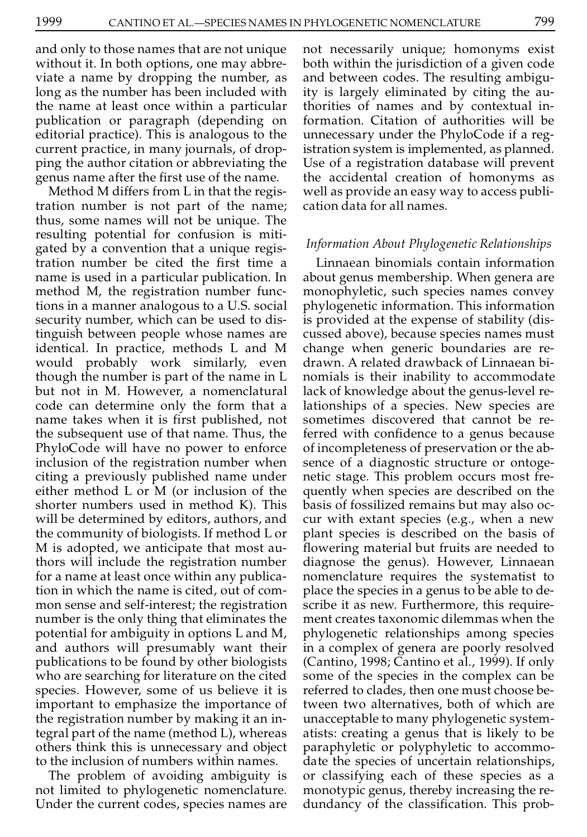and only to those names that are not unique without it. In both options, one may abbreviate a name by dropping the number, as long as the number has been included with the name at least once within a particular publication or paragraph (depending on editorial practice). This is analogous to the current practice, in many journals, of dropping the author citation or abbreviating the genus name after the first use of the name.

Method M differs from L in that the registration number is not part of the name; thus, some names will not be unique. The resulting potential for confusion is mitigated by a convention that a unique registration number be cited the first time a name is used in a particular publication. In method M, the registration number functions in a manner analogous to a U.S. social security number, which can be used to distinguish between people whose names are identical. In practice, methods L and M would probably work similarly, even though the number is part of the name in L but not in M. However, a nomenclatural code can determine only the form that a name takes when it is first published, not the subsequent use of that name. Thus, the PhyloCode will have no power to enforce inclusion of the registration number when citing a previously published name under either method L or M (or inclusion of the shorter numbers used in method K). This will be determined by editors, authors, and the community of biologists. If method L or M is adopted, we anticipate that most authors will include the registration number for a name at least once within any publication in which the name is cited, out of common sense and self-interest; the registration number is the only thing that eliminates the potential for ambiguity in options L and M, and authors will presumably want their publications to be found by other biologists who are searching for literature on the cited species. However, some of us believe it is important to emphasize the importance of the registration number by making it an integral part of the name (method L), whereas others think this is unnecessary and object to the inclusion of numbers within names.

The problem of avoiding ambiguity is not limited to phylogenetic nomenclature. Under the current codes, species names are not necessarily unique; homonyms exist both within the jurisdiction of a given code and between codes. The resulting ambiguity is largely eliminated by citing the authorities of names and by contextual information. Citation of authorities will be unnecessary under the PhyloCode if a registration system is implemented, as planned. Use of a registration database will prevent the accidental creation of homonyms as well as provide an easy way to access publication data for all names.

## *Information About Phylogenetic Relationships*

Linnaean binomials contain information about genus membership. When genera are monophyletic, such species names convey phylogenetic information. This information is provided at the expense of stability (discussed above), because species names must change when generic boundaries are redrawn. A related drawback of Linnaean binomials is their inability to accommodate lack of knowledge about the genus-level relationships of a species. New species are sometimes discovered that cannot be referred with confidence to a genus because of incompleteness of preservation or the absence of a diagnostic structure or ontogenetic stage. This problem occurs most frequently when species are described on the basis of fossilized remains but may also occur with extant species (e.g., when a new plant species is described on the basis of flowering material but fruits are needed to diagnose the genus). However, Linnaean nomenclature requires the systematist to place the species in a genus to be able to describe it as new. Furthermore, this requirement creates taxonomic dilemmas when the phylogenetic relationships among species in a complex of genera are poorly resolved (Cantino, 1998; Cantino et al., 1999). If only some of the species in the complex can be referred to clades, then one must choose between two alternatives, both of which are unacceptable to many phylogenetic systematists: creating a genus that is likely to be paraphyletic or polyphyletic to accommodate the species of uncertain relationships, or classifying each of these species as a monotypic genus, thereby increasing the redundancy of the classification. This prob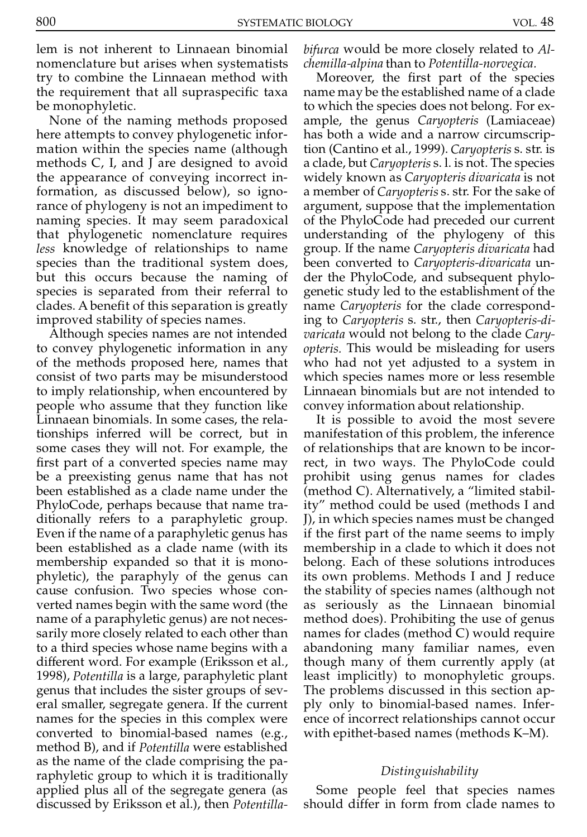lem is not inherent to Linnaean binomial nomenclature but arises when systematists try to combine the Linnaean method with the requirement that all supraspecific taxa be monophyletic.

None of the naming methods proposed here attempts to convey phylogenetic information within the species name (although methods C, I, and J are designed to avoid the appearance of conveying incorrect information, as discussed below), so ignorance of phylogeny is not an impediment to naming species. It may seem paradoxical that phylogenetic nomenclature requires *less* knowledge of relationships to name species than the traditional system does, but this occurs because the naming of species is separated from their referral to clades. A benefit of this separation is greatly improved stability of species names.

Although species names are not intended to convey phylogenetic information in any of the methods proposed here, names that consist of two parts may be misunderstood to imply relationship, when encountered by people who assume that they function like Linnaean binomials. In some cases, the relationships inferred will be correct, but in some cases they will not. For example, the first part of a converted species name may be a preexisting genus name that has not been established as a clade name under the PhyloCode, perhaps because that name traditionally refers to a paraphyletic group. Even if the name of a paraphyletic genus has been established as a clade name (with its membership expanded so that it is monophyletic), the paraphyly of the genus can cause confusion. Two species whose converted names begin with the same word (the name of a paraphyletic genus) are not necessarily more closely related to each other than to a third species whose name begins with a different word. For example (Eriksson et al., 1998), *Potentilla* is a large, paraphyletic plant genus that includes the sister groups of several smaller, segregate genera. If the current names for the species in this complex were converted to binomial-based names (e.g., method B), and if *Potentilla* were established as the name of the clade comprising the paraphyletic group to which it is traditionally applied plus all of the segregate genera (as discussed by Eriksson et al.), then *Potentilla-* *bifurca* would be more closely related to *Alchemilla-alpina* than to *Potentilla-norvegica.*

Moreover, the first part of the species name may be the established name of a clade to which the species does not belong. For example, the genus *Caryopteris* (Lamiaceae) has both a wide and a narrow circumscription (Cantino et al., 1999). *Caryopteris* s. str. is a clade, but *Caryopteris* s. l. is not. The species widely known as *Caryopteris divaricata* is not a member of *Caryopteris* s. str. For the sake of argument, suppose that the implementation of the PhyloCode had preceded our current understanding of the phylogeny of this group. If the name *Caryopteris divaricata* had been converted to *Caryopteris-divaricata* under the PhyloCode, and subsequent phylogenetic study led to the establishment of the name *Caryopteris* for the clade corresponding to *Caryopteris* s. str., then *Caryopteris-divaricata* would not belong to the clade *Caryopteris.* This would be misleading for users who had not yet adjusted to a system in which species names more or less resemble Linnaean binomials but are not intended to convey information about relationship.

It is possible to avoid the most severe manifestation of this problem, the inference of relationships that are known to be incorrect, in two ways. The PhyloCode could prohibit using genus names for clades (method C). Alternatively, a "limited stability" method could be used (methods I and J), in which species names must be changed if the first part of the name seems to imply membership in a clade to which it does not belong. Each of these solutions introduces its own problems. Methods I and J reduce the stability of species names (although not as seriously as the Linnaean binomial method does). Prohibiting the use of genus names for clades (method C) would require abandoning many familiar names, even though many of them currently apply (at least implicitly) to monophyletic groups. The problems discussed in this section apply only to binomial-based names. Inference of incorrect relationships cannot occur with epithet-based names (methods K–M).

#### *Distinguishability*

Some people feel that species names should differ in form from clade names to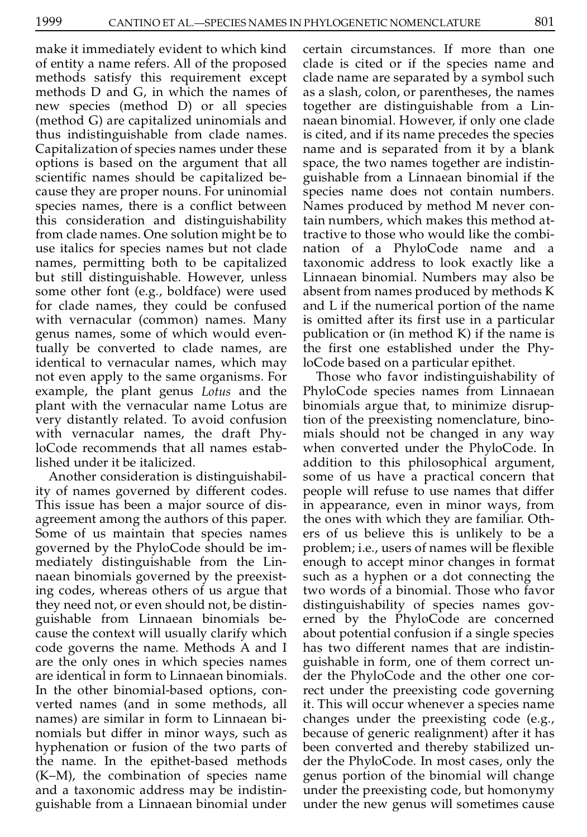make it immediately evident to which kind of entity a name refers. All of the proposed methods satisfy this requirement except methods D and G, in which the names of new species (method D) or all species (method G) are capitalized uninomials and thus indistinguishable from clade names. Capitalization of species names under these options is based on the argument that all scientific names should be capitalized because they are proper nouns. For uninomial species names, there is a conflict between this consideration and distinguishability from clade names. One solution might be to use italics for species names but not clade names, permitting both to be capitalized but still distinguishable. However, unless some other font (e.g., boldface) were used for clade names, they could be confused with vernacular (common) names. Many genus names, some of which would eventually be converted to clade names, are identical to vernacular names, which may not even apply to the same organisms. For example, the plant genus *Lotus* and the plant with the vernacular name Lotus are very distantly related. To avoid confusion with vernacular names, the draft PhyloCode recommends that all names established under it be italicized.

Another consideration is distinguishability of names governed by different codes. This issue has been a major source of disagreement among the authors of this paper. Some of us maintain that species names governed by the PhyloCode should be immediately distinguishable from the Linnaean binomials governed by the preexisting codes, whereas others of us argue that they need not, or even should not, be distinguishable from Linnaean binomials because the context will usually clarify which code governs the name. Methods A and I are the only ones in which species names are identical in form to Linnaean binomials. In the other binomial-based options, converted names (and in some methods, all names) are similar in form to Linnaean binomials but differ in minor ways, such as hyphenation or fusion of the two parts of the name. In the epithet-based methods (K–M), the combination of species name and a taxonomic address may be indistinguishable from a Linnaean binomial under certain circumstances. If more than one clade is cited or if the species name and clade name are separated by a symbol such as a slash, colon, or parentheses, the names together are distinguishable from a Linnaean binomial. However, if only one clade is cited, and if its name precedes the species name and is separated from it by a blank space, the two names together are indistinguishable from a Linnaean binomial if the species name does not contain numbers. Names produced by method M never contain numbers, which makes this method attractive to those who would like the combination of a PhyloCode name and a taxonomic address to look exactly like a Linnaean binomial. Numbers may also be absent from names produced by methods K and L if the numerical portion of the name is omitted after its first use in a particular publication or (in method K) if the name is the first one established under the PhyloCode based on a particular epithet.

Those who favor indistinguishability of PhyloCode species names from Linnaean binomials argue that, to minimize disruption of the preexisting nomenclature, binomials should not be changed in any way when converted under the PhyloCode. In addition to this philosophical argument, some of us have a practical concern that people will refuse to use names that differ in appearance, even in minor ways, from the ones with which they are familiar. Others of us believe this is unlikely to be a problem; i.e., users of names will be flexible enough to accept minor changes in format such as a hyphen or a dot connecting the two words of a binomial. Those who favor distinguishability of species names governed by the PhyloCode are concerned about potential confusion if a single species has two different names that are indistinguishable in form, one of them correct under the PhyloCode and the other one correct under the preexisting code governing it. This will occur whenever a species name changes under the preexisting code (e.g., because of generic realignment) after it has been converted and thereby stabilized under the PhyloCode. In most cases, only the genus portion of the binomial will change under the preexisting code, but homonymy under the new genus will sometimes cause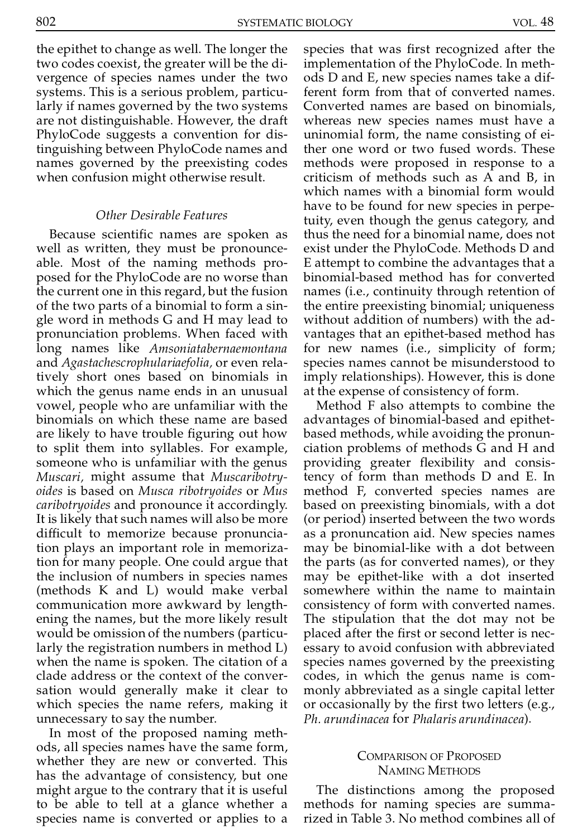802 SYSTEMATIC BIOLOGY VOL. 48

the epithet to change as well. The longer the two codes coexist, the greater will be the divergence of species names under the two systems. This is a serious problem, particularly if names governed by the two systems are not distinguishable. However, the draft PhyloCode suggests a convention for distinguishing between PhyloCode names and names governed by the preexisting codes when confusion might otherwise result.

## *Other Desirable Features*

Because scientific names are spoken as well as written, they must be pronounceable. Most of the naming methods proposed for the PhyloCode are no worse than the current one in this regard, but the fusion of the two parts of a binomial to form a single word in methods G and H may lead to pronunciation problems. When faced with long names like *Amsoniatabernaemontana* and *Agastachescrophulariaefolia,* or even relatively short ones based on binomials in which the genus name ends in an unusual vowel, people who are unfamiliar with the binomials on which these name are based are likely to have trouble figuring out how to split them into syllables. For example, someone who is unfamiliar with the genus *Muscari,* might assume that *Muscaribotryoides* is based on *Musca ribotryoides* or *Mus caribotryoides* and pronounce it accordingly. It is likely that such names will also be more difficult to memorize because pronunciation plays an important role in memorization for many people. One could argue that the inclusion of numbers in species names (methods K and L) would make verbal communication more awkward by lengthening the names, but the more likely result would be omission of the numbers (particularly the registration numbers in method L) when the name is spoken. The citation of a clade address or the context of the conversation would generally make it clear to which species the name refers, making it unnecessary to say the number.

In most of the proposed naming methods, all species names have the same form, whether they are new or converted. This has the advantage of consistency, but one might argue to the contrary that it is useful to be able to tell at a glance whether a species name is converted or applies to a

species that was first recognized after the implementation of the PhyloCode. In methods D and E, new species names take a different form from that of converted names. Converted names are based on binomials, whereas new species names must have a uninomial form, the name consisting of either one word or two fused words. These methods were proposed in response to a criticism of methods such as A and B, in which names with a binomial form would have to be found for new species in perpetuity, even though the genus category, and thus the need for a binomial name, does not exist under the PhyloCode. Methods D and E attempt to combine the advantages that a binomial-based method has for converted names (i.e., continuity through retention of the entire preexisting binomial; uniqueness without addition of numbers) with the advantages that an epithet-based method has for new names (i.e., simplicity of form; species names cannot be misunderstood to imply relationships). However, this is done at the expense of consistency of form.

Method F also attempts to combine the advantages of binomial-based and epithetbased methods, while avoiding the pronunciation problems of methods G and H and providing greater flexibility and consistency of form than methods D and E. In method F, converted species names are based on preexisting binomials, with a dot (or period) inserted between the two words as a pronuncation aid. New species names may be binomial-like with a dot between the parts (as for converted names), or they may be epithet-like with a dot inserted somewhere within the name to maintain consistency of form with converted names. The stipulation that the dot may not be placed after the first or second letter is necessary to avoid confusion with abbreviated species names governed by the preexisting codes, in which the genus name is commonly abbreviated as a single capital letter or occasionally by the first two letters (e.g., *Ph. arundinacea* for *Phalaris arundinacea*).

## COMPARISON OF PROPOSED NAMING METHODS

The distinctions among the proposed methods for naming species are summarized in Table 3. No method combines all of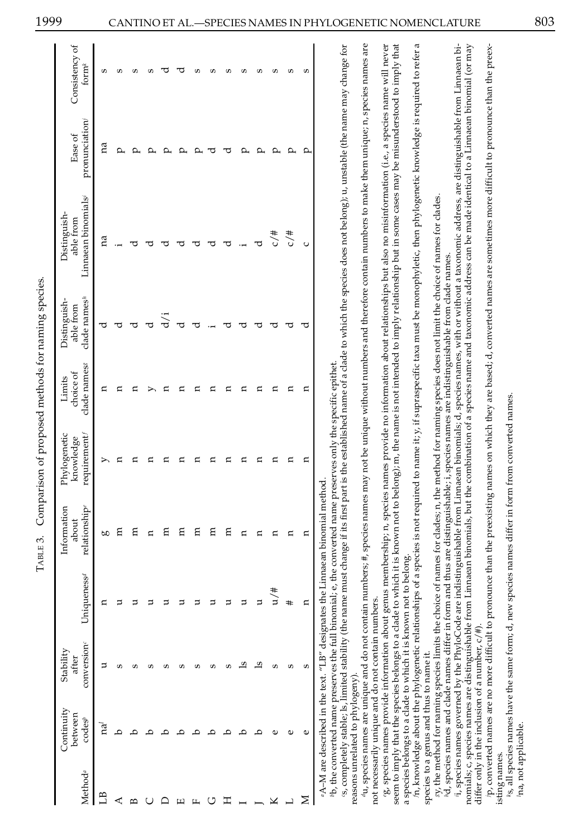|         |                                                                                                                                                                                  |                                  |                                                                  | ТАВLЕЗ.                                                                                                   | Comparison of proposed methods for naming species. |                                    |                                                       |                                                                                                                                                                                                                                                                                                                                                                                        |                          |                                     |
|---------|----------------------------------------------------------------------------------------------------------------------------------------------------------------------------------|----------------------------------|------------------------------------------------------------------|-----------------------------------------------------------------------------------------------------------|----------------------------------------------------|------------------------------------|-------------------------------------------------------|----------------------------------------------------------------------------------------------------------------------------------------------------------------------------------------------------------------------------------------------------------------------------------------------------------------------------------------------------------------------------------------|--------------------------|-------------------------------------|
| Methodª | Continuity<br>between<br>codes <sup>,</sup>                                                                                                                                      | conversion<br>Stability<br>after | Uniqueness <sup>d</sup>                                          | relationshipe<br>Information<br>about                                                                     | requirement/<br>Phylogenetic<br>knowledge          | clade names<br>choice of<br>Limits | clade names <sup>h</sup><br>Distinguish-<br>able from | Linnaean binomials <sup>i</sup><br>Distinguish-<br>able from                                                                                                                                                                                                                                                                                                                           | pronunciation<br>Ease of | Consistency of<br>form <sup>k</sup> |
| EB      | 'naʻ                                                                                                                                                                             | ⊐                                |                                                                  | 60                                                                                                        |                                                    |                                    | ರ                                                     | na                                                                                                                                                                                                                                                                                                                                                                                     | na                       | S                                   |
| ⋖       | ٩                                                                                                                                                                                | S                                | ゴ                                                                | ឨ                                                                                                         | ¤                                                  | ี่¤                                | ರ                                                     |                                                                                                                                                                                                                                                                                                                                                                                        | ച                        | $\Omega$                            |
| ≏       | ≏                                                                                                                                                                                | S                                | ⊐                                                                | ឨ                                                                                                         | Ξ                                                  |                                    | ರ                                                     |                                                                                                                                                                                                                                                                                                                                                                                        |                          | S                                   |
|         |                                                                                                                                                                                  | S                                | ⊐                                                                | Ξ                                                                                                         | ¤                                                  |                                    |                                                       |                                                                                                                                                                                                                                                                                                                                                                                        |                          | S                                   |
|         |                                                                                                                                                                                  |                                  | Þ                                                                | Ε                                                                                                         |                                                    |                                    | ー<br>マ                                                |                                                                                                                                                                                                                                                                                                                                                                                        |                          |                                     |
|         |                                                                                                                                                                                  |                                  | ⊐                                                                | Ε                                                                                                         | ¤                                                  |                                    | €                                                     |                                                                                                                                                                                                                                                                                                                                                                                        |                          |                                     |
|         |                                                                                                                                                                                  |                                  | ⊐                                                                | Ε                                                                                                         |                                                    |                                    | ◘                                                     |                                                                                                                                                                                                                                                                                                                                                                                        |                          |                                     |
|         |                                                                                                                                                                                  |                                  | ⊐                                                                | E                                                                                                         | ¤                                                  |                                    |                                                       | ਹ                                                                                                                                                                                                                                                                                                                                                                                      |                          | S                                   |
| ∓       |                                                                                                                                                                                  |                                  | ⊐                                                                | E                                                                                                         | ¤                                                  |                                    |                                                       | ರ                                                                                                                                                                                                                                                                                                                                                                                      |                          |                                     |
|         | $\circ$                                                                                                                                                                          | $\overline{\mathbf{c}}$          | コ                                                                | Ξ                                                                                                         | ¤                                                  |                                    |                                                       |                                                                                                                                                                                                                                                                                                                                                                                        |                          | s                                   |
|         | ≏                                                                                                                                                                                | $\overline{s}$                   |                                                                  |                                                                                                           | ี่¤                                                | Ξ                                  |                                                       |                                                                                                                                                                                                                                                                                                                                                                                        |                          | S                                   |
|         |                                                                                                                                                                                  | S                                | $u/\ddot{t}$                                                     |                                                                                                           | ¤                                                  |                                    |                                                       | $\frac{4}{2}$                                                                                                                                                                                                                                                                                                                                                                          |                          | S                                   |
|         | Φ                                                                                                                                                                                | S                                | #                                                                | Ξ                                                                                                         | Ξ                                                  | ี่¤                                | ਹ                                                     | $\frac{4}{2}$                                                                                                                                                                                                                                                                                                                                                                          | ≏                        | S                                   |
|         | Φ                                                                                                                                                                                | S                                | ά                                                                | ά                                                                                                         | Ξ                                                  | u                                  | ರ                                                     | C                                                                                                                                                                                                                                                                                                                                                                                      | ≏                        | S                                   |
|         | "A-M are described in the text. "LB" design<br>b, the converted name preserves the full b.<br>s, completely stable; ls, limited stability (th<br>reasons unrelated to phylogeny) |                                  |                                                                  | inomial; e, the converted name preserves only the specific epithet.<br>nates the Linnaean binomial method |                                                    |                                    |                                                       | e name must change if its first part is the established name of a clade to which the species does not belong); u, unstable (the name may change for                                                                                                                                                                                                                                    |                          |                                     |
|         | not necessarily unique and do not contain numbers.                                                                                                                               |                                  |                                                                  |                                                                                                           |                                                    |                                    |                                                       | $^4$ u, species names are unique and do not contain numbers; #, species names may not be unique without numbers and therefore contain numbers to make them unique; n, species names are                                                                                                                                                                                                |                          |                                     |
|         |                                                                                                                                                                                  |                                  | a species belongs to a clade to which it is known not to belong. |                                                                                                           |                                                    |                                    |                                                       | seem to imply that the species belongs to a clade to which it is known not to belong); m, the name is not intended to imply relationship but in some cases may be misunderstood to imply that<br>eg, species names provide information about genus membership; n, species names provide no information about relationships but also no misinformation (i.e., a species name will never |                          |                                     |
|         | m, knowledge about the phylogenetic relat                                                                                                                                        |                                  |                                                                  |                                                                                                           |                                                    |                                    |                                                       | ionships of a species is not required to name it; y, if supraspecific taxa must be monophyletic, then phylogenetic knowledge is required to refer a                                                                                                                                                                                                                                    |                          |                                     |
|         | species to a genus and thus to name it.                                                                                                                                          |                                  |                                                                  |                                                                                                           |                                                    |                                    |                                                       | sy, the method for naming species limits the choice of names for clades; n, the method for naming species does not limit the choice of names for clades.                                                                                                                                                                                                                               |                          |                                     |

8y, the method for naming species limits the choice of names for clades; n, the method for naming species does not limit the choice of names for clades.<br>^d, species names and clade names differ in form and thus are disting

i, species names governed by the PhyloCode are indistinguishable from Linnaean binomials; d, species names, with or without a taxonomic address, are distinguishable from Linnaean binomials; c, species names are distinguishable from Linnaean binomials, but the combination of a species name and taxonomic address can be made identical to a Linnaean binomial (or may 4, species names governed by the PhyloCode are indistinguishable from Linnaean binomials; d, species names, with or without a taxonomic address, are distinguishable from Linnaean binomials; c, species names governed by species to a genus and thus to name it.<br>"sy, the method for naming species limits the choice of names for clades; n, the method for naming species does not limit the choice of names for clades.<br>"d, species names and clade differ only in the inclusion of a number,  $c/\#$ ).

ip, converted names are no more difficult to pronounce than the preexisting names on which they are based; d, converted names are sometimes more difficult to pronounce than the preex*j*p, converted names are no more difficult to pronounce than the preexisting names on which they are based; d, converted names are sometimes more difficult to pronounce than the preex-<br><sup>is,</sup> all species names have the sam isting names.<br>'s, all species names have the same form; d, new species names differ in form from converted names.

*ks,* all species names have the same form; d, new species names differ in form from converted names.<br>'na, not applicable. *l*na, not applicable.

1999 CANTINO ET AL.—SPECIES NAMES IN PHYLOGENETIC NOMENCLATURE 803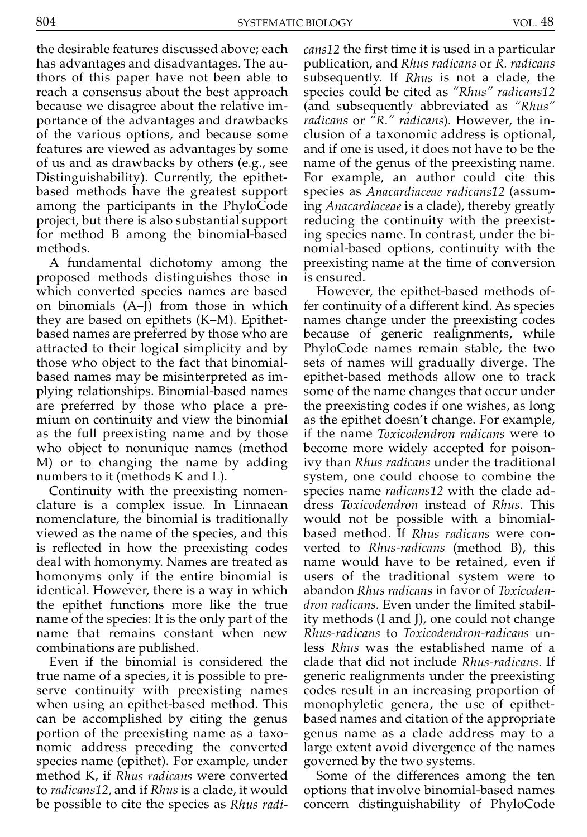the desirable features discussed above; each has advantages and disadvantages. The authors of this paper have not been able to reach a consensus about the best approach because we disagree about the relative importance of the advantages and drawbacks of the various options, and because some features are viewed as advantages by some of us and as drawbacks by others (e.g., see Distinguishability). Currently, the epithetbased methods have the greatest support among the participants in the PhyloCode project, but there is also substantial support for method B among the binomial-based methods.

A fundamental dichotomy among the proposed methods distinguishes those in which converted species names are based on binomials (A–J) from those in which they are based on epithets (K–M). Epithetbased names are preferred by those who are attracted to their logical simplicity and by those who object to the fact that binomialbased names may be misinterpreted as implying relationships. Binomial-based names are preferred by those who place a premium on continuity and view the binomial as the full preexisting name and by those who object to nonunique names (method M) or to changing the name by adding numbers to it (methods K and L).

Continuity with the preexisting nomenclature is a complex issue. In Linnaean nomenclature, the binomial is traditionally viewed as the name of the species, and this is reflected in how the preexisting codes deal with homonymy. Names are treated as homonyms only if the entire binomial is identical. However, there is a way in which the epithet functions more like the true name of the species: It is the only part of the name that remains constant when new combinations are published.

Even if the binomial is considered the true name of a species, it is possible to preserve continuity with preexisting names when using an epithet-based method. This can be accomplished by citing the genus portion of the preexisting name as a taxonomic address preceding the converted species name (epithet). For example, under method K, if *Rhus radicans* were converted to *radicans12,* and if *Rhus* is a clade, it would be possible to cite the species as *Rhus radi-* *cans12* the first time it is used in a particular publication, and *Rhus radicans* or *R. radicans* subsequently. If *Rhus* is not a clade, the species could be cited as *"Rhus" radicans12* (and subsequently abbreviated as *"Rhus" radicans* or *"R." radicans*). However, the inclusion of a taxonomic address is optional, and if one is used, it does not have to be the name of the genus of the preexisting name. For example, an author could cite this species as *Anacardiaceae radicans12* (assuming *Anacardiaceae* is a clade), thereby greatly reducing the continuity with the preexisting species name. In contrast, under the binomial-based options, continuity with the preexisting name at the time of conversion is ensured.

However, the epithet-based methods offer continuity of a different kind. As species names change under the preexisting codes because of generic realignments, while PhyloCode names remain stable, the two sets of names will gradually diverge. The epithet-based methods allow one to track some of the name changes that occur under the preexisting codes if one wishes, as long as the epithet doesn't change. For example, if the name *Toxicodendron radicans* were to become more widely accepted for poisonivy than *Rhus radicans* under the traditional system, one could choose to combine the species name *radicans12* with the clade address *Toxicodendron* instead of *Rhus.* This would not be possible with a binomialbased method. If *Rhus radicans* were converted to *Rhus-radicans* (method B), this name would have to be retained, even if users of the traditional system were to abandon *Rhus radicans* in favor of *Toxicodendron radicans.* Even under the limited stability methods (I and J), one could not change *Rhus-radicans* to *Toxicodendron-radicans* unless *Rhus* was the established name of a clade that did not include *Rhus-radicans.* If generic realignments under the preexisting codes result in an increasing proportion of monophyletic genera, the use of epithetbased names and citation of the appropriate genus name as a clade address may to a large extent avoid divergence of the names governed by the two systems.

Some of the differences among the ten options that involve binomial-based names concern distinguishability of PhyloCode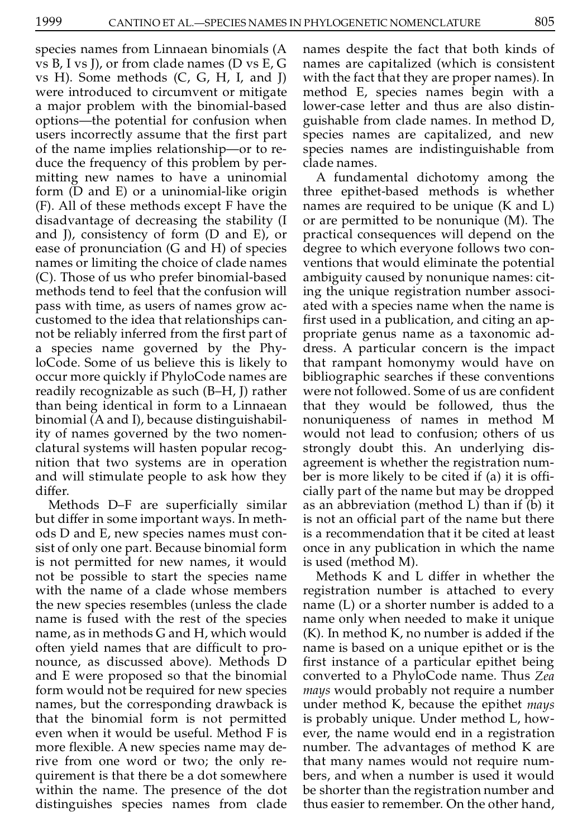species names from Linnaean binomials (A vs B, I vs J), or from clade names (D vs E, G vs H). Some methods  $(C, G, H, I, and J)$ were introduced to circumvent or mitigate a major problem with the binomial-based options—the potential for confusion when users incorrectly assume that the first part of the name implies relationship—or to reduce the frequency of this problem by permitting new names to have a uninomial form (D and E) or a uninomial-like origin (F). All of these methods except F have the disadvantage of decreasing the stability (I and J), consistency of form (D and E), or ease of pronunciation (G and H) of species names or limiting the choice of clade names (C). Those of us who prefer binomial-based methods tend to feel that the confusion will pass with time, as users of names grow accustomed to the idea that relationships cannot be reliably inferred from the first part of a species name governed by the PhyloCode. Some of us believe this is likely to occur more quickly if PhyloCode names are readily recognizable as such (B–H, J) rather than being identical in form to a Linnaean binomial (A and I), because distinguishability of names governed by the two nomenclatural systems will hasten popular recognition that two systems are in operation and will stimulate people to ask how they differ.

Methods D–F are superficially similar but differ in some important ways. In methods D and E, new species names must consist of only one part. Because binomial form is not permitted for new names, it would not be possible to start the species name with the name of a clade whose members the new species resembles (unless the clade name is fused with the rest of the species name, as in methods G and H, which would often yield names that are difficult to pronounce, as discussed above). Methods D and E were proposed so that the binomial form would not be required for new species names, but the corresponding drawback is that the binomial form is not permitted even when it would be useful. Method F is more flexible. A new species name may derive from one word or two; the only requirement is that there be a dot somewhere within the name. The presence of the dot distinguishes species names from clade names despite the fact that both kinds of names are capitalized (which is consistent with the fact that they are proper names). In method E, species names begin with a lower-case letter and thus are also distinguishable from clade names. In method D, species names are capitalized, and new species names are indistinguishable from clade names.

A fundamental dichotomy among the three epithet-based methods is whether names are required to be unique (K and L) or are permitted to be nonunique (M). The practical consequences will depend on the degree to which everyone follows two conventions that would eliminate the potential ambiguity caused by nonunique names: citing the unique registration number associated with a species name when the name is first used in a publication, and citing an appropriate genus name as a taxonomic address. A particular concern is the impact that rampant homonymy would have on bibliographic searches if these conventions were not followed. Some of us are confident that they would be followed, thus the nonuniqueness of names in method M would not lead to confusion; others of us strongly doubt this. An underlying disagreement is whether the registration number is more likely to be cited if (a) it is officially part of the name but may be dropped as an abbreviation (method L) than if (b) it is not an official part of the name but there is a recommendation that it be cited at least once in any publication in which the name is used (method M).

Methods K and L differ in whether the registration number is attached to every name (L) or a shorter number is added to a name only when needed to make it unique (K). In method K, no number is added if the name is based on a unique epithet or is the first instance of a particular epithet being converted to a PhyloCode name. Thus *Zea mays* would probably not require a number under method K, because the epithet *mays* is probably unique. Under method L, however, the name would end in a registration number. The advantages of method K are that many names would not require numbers, and when a number is used it would be shorter than the registration number and thus easier to remember. On the other hand,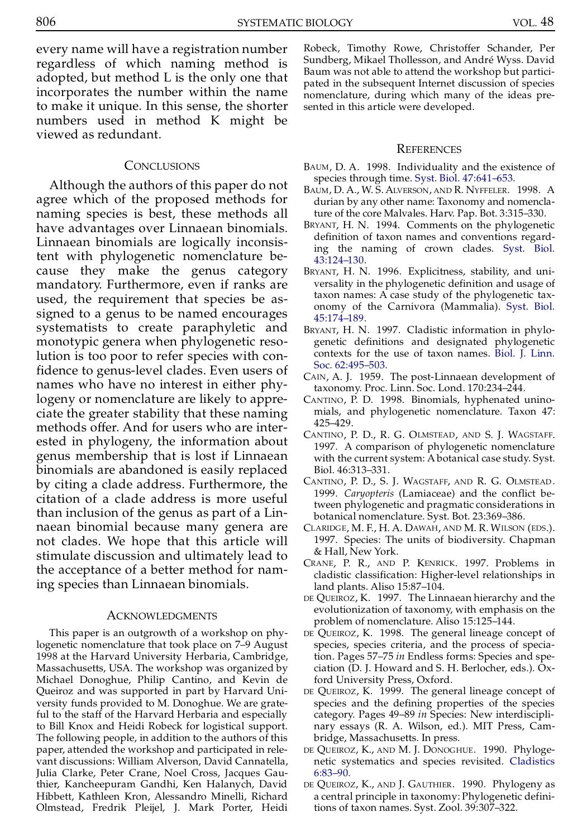806 SYSTEMATIC BIOLOGY VOL. 48

every name will have a registration number regardless of which naming method is adopted, but method L is the only one that

incorporates the number within the name to make it unique. In this sense, the shorter numbers used in method K might be viewed as redundant.

## **CONCLUSIONS**

Although the authors of this paper do not agree which of the proposed methods for naming species is best, these methods all have advantages over Linnaean binomials. Linnaean binomials are logically inconsistent with phylogenetic nomenclature because they make the genus category mandatory. Furthermore, even if ranks are used, the requirement that species be assigned to a genus to be named encourages systematists to create paraphyletic and monotypic genera when phylogenetic resolution is too poor to refer species with confidence to genus-level clades. Even users of names who have no interest in either phylogeny or nomenclature are likely to appreciate the greater stability that these naming methods offer. And for users who are interested in phylogeny, the information about genus membership that is lost if Linnaean binomials are abandoned is easily replaced by citing a clade address. Furthermore, the citation of a clade address is more useful than inclusion of the genus as part of a Linnaean binomial because many genera are not clades. We hope that this article will stimulate discussion and ultimately lead to the acceptance of a better method for naming species than Linnaean binomials.

#### **ACKNOWLEDGMENTS**

This paper is an outgrowth of a workshop on phylogenetic nomenclature that took place on 7–9 August 1998 at the Harvard University Herbaria, Cambridge, Massachusetts, USA. The workshop was organized by Michael Donoghue, Philip Cantino, and Kevin de Queiroz and was supported in part by Harvard University funds provided to M. Donoghue. We are grateful to the staff of the Harvard Herbaria and especially to Bill Knox and Heidi Robeck for logistical support. The following people, in addition to the authors of this paper, attended the workshop and participated in relevant discussions: William Alverson, David Cannatella, Julia Clarke, Peter Crane, Noel Cross, Jacques Gauthier, Kancheepuram Gandhi, Ken Halanych, David Hibbett, Kathleen Kron, Alessandro Minelli, Richard Olmstead, Fredrik Pleijel, J. Mark Porter, Heidi Robeck, Timothy Rowe, Christoffer Schander, Per Sundberg, Mikael Thollesson, and André Wyss. David Baum was not able to attend the workshop but participated in the subsequent Internet discussion of species nomenclature, during which many of the ideas presented in this article were developed.

## **REFERENCES**

- BAUM, D. A. 1998. Individuality and the existence of species through time. [Syst. Biol. 47:641–653.](http://www.ingentaselect.com/rpsv/cgi-bin/linker?ext=a&reqidx=/1063-5157^28^2947L.641[aid=761536,cw=1])
- BAUM, D. A., W. S. ALVERSON, AND R. NYFFELER. 1998. A durian by any other name: Taxonomy and nomenclature of the core Malvales. Harv. Pap. Bot. 3:315–330.
- BRYANT, H. N. 1994. Comments on the phylogenetic definition of taxon names and conventions regarding the naming of crown clades. [Syst. Biol.](http://www.ingentaselect.com/rpsv/cgi-bin/linker?ext=a&reqidx=/1063-5157^28^2943L.124[aid=760611]) [43:124–130.](http://www.ingentaselect.com/rpsv/cgi-bin/linker?ext=a&reqidx=/1063-5157^28^2943L.124[aid=760611])
- BRYANT, H. N. 1996. Explicitness, stability, and universality in the phylogenetic definition and usage of taxon names: A case study of the phylogenetic taxonomy of the Carnivora (Mammalia). [Syst. Biol.](http://www.ingentaselect.com/rpsv/cgi-bin/linker?ext=a&reqidx=/1063-5157^28^2945L.174[aid=760612]) [45:174–189.](http://www.ingentaselect.com/rpsv/cgi-bin/linker?ext=a&reqidx=/1063-5157^28^2945L.174[aid=760612])
- BRYANT, H. N. 1997. Cladistic information in phylogenetic definitions and designated phylogenetic contexts for the use of taxon names. [Biol. J. Linn.](http://www.ingentaselect.com/rpsv/cgi-bin/linker?ext=a&reqidx=/0024-4066^28^2962L.495[aid=760613]) [Soc. 62:495–503.](http://www.ingentaselect.com/rpsv/cgi-bin/linker?ext=a&reqidx=/0024-4066^28^2962L.495[aid=760613])
- CAIN, A. J. 1959. The post-Linnaean development of taxonomy. Proc. Linn. Soc. Lond. 170:234–244.
- CANTINO, P. D. 1998. Binomials, hyphenated uninomials, and phylogenetic nomenclature. Taxon 47: 425–429.
- CANTINO, P. D., R. G. OLMSTEAD, AND S. J. WAGSTAFF. 1997. A comparison of phylogenetic nomenclature with the current system: A botanical case study. Syst. Biol. 46:313–331.
- CANTINO, P. D., S. J. WAGSTAFF, AND R. G. OLMSTEAD. 1999. *Caryopteris* (Lamiaceae) and the conflict between phylogenetic and pragmatic considerations in botanical nomenclature. Syst. Bot. 23:369–386.
- CLARIDGE, M. F., H. A. DAWAH, AND M. R. WILSON (EDS.). 1997. Species: The units of biodiversity. Chapman & Hall, New York.
- CRANE, P. R., AND P. KENRICK. 1997. Problems in cladistic classification: Higher-level relationships in land plants. Aliso 15:87–104.
- DE QUEIROZ, K. 1997. The Linnaean hierarchy and the evolutionization of taxonomy, with emphasis on the problem of nomenclature. Aliso 15:125–144.
- DE QUEIROZ, K. 1998. The general lineage concept of species, species criteria, and the process of speciation. Pages 57–75 *in* Endless forms: Species and speciation (D. J. Howard and S. H. Berlocher, eds.). Oxford University Press, Oxford.
- DE QUEIROZ, K. 1999. The general lineage concept of species and the defining properties of the species category. Pages 49–89 *in* Species: New interdisciplinary essays (R. A. Wilson, ed.). MIT Press, Cambridge, Massachusetts. In press.
- DE QUEIROZ, K., AND M. J. DONOGHUE. 1990. Phylogenetic systematics and species revisited. [Cladistics](http://www.ingentaselect.com/rpsv/cgi-bin/linker?ext=a&reqidx=/0748-3007^28^296L.83[aid=761538]) [6:83–90.](http://www.ingentaselect.com/rpsv/cgi-bin/linker?ext=a&reqidx=/0748-3007^28^296L.83[aid=761538])
- DE QUEIROZ, K., AND J. GAUTHIER. 1990. Phylogeny as a central principle in taxonomy: Phylogenetic definitions of taxon names. Syst. Zool. 39:307–322.